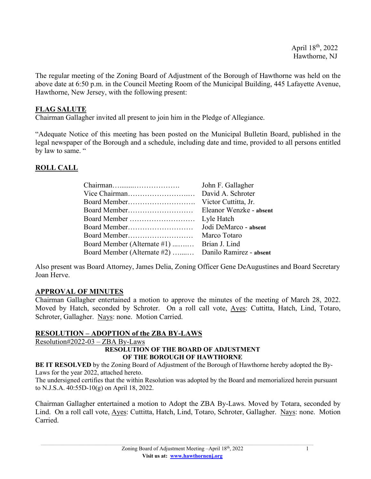The regular meeting of the Zoning Board of Adjustment of the Borough of Hawthorne was held on the above date at 6:50 p.m. in the Council Meeting Room of the Municipal Building, 445 Lafayette Avenue, Hawthorne, New Jersey, with the following present:

## **FLAG SALUTE**

Chairman Gallagher invited all present to join him in the Pledge of Allegiance.

"Adequate Notice of this meeting has been posted on the Municipal Bulletin Board, published in the legal newspaper of the Borough and a schedule, including date and time, provided to all persons entitled by law to same. "

## **ROLL CALL**

|                                                      | John F. Gallagher       |
|------------------------------------------------------|-------------------------|
|                                                      | David A. Schroter       |
|                                                      | Victor Cuttitta, Jr.    |
|                                                      | Eleanor Wenzke - absent |
| Board Member                                         | Lyle Hatch              |
| Board Member                                         | Jodi DeMarco - absent   |
|                                                      | Marco Totaro            |
| Board Member (Alternate #1)                          | Brian J. Lind           |
| Board Member (Alternate #2)  Danilo Ramirez - absent |                         |

Also present was Board Attorney, James Delia, Zoning Officer Gene DeAugustines and Board Secretary Joan Herve.

# **APPROVAL OF MINUTES**

Chairman Gallagher entertained a motion to approve the minutes of the meeting of March 28, 2022. Moved by Hatch, seconded by Schroter. On a roll call vote, Ayes: Cuttitta, Hatch, Lind, Totaro, Schroter, Gallagher. Nays: none. Motion Carried.

### **RESOLUTION – ADOPTION of the ZBA BY-LAWS**

Resolution#2022-03 – ZBA By-Laws

#### **RESOLUTION OF THE BOARD OF ADJUSTMENT OF THE BOROUGH OF HAWTHORNE**

**BE IT RESOLVED** by the Zoning Board of Adjustment of the Borough of Hawthorne hereby adopted the By-Laws for the year 2022, attached hereto.

The undersigned certifies that the within Resolution was adopted by the Board and memorialized herein pursuant to N.J.S.A. 40:55D-10(g) on April 18, 2022.

Chairman Gallagher entertained a motion to Adopt the ZBA By-Laws. Moved by Totara, seconded by Lind. On a roll call vote, Ayes: Cuttitta, Hatch, Lind, Totaro, Schroter, Gallagher. Nays: none. Motion Carried.